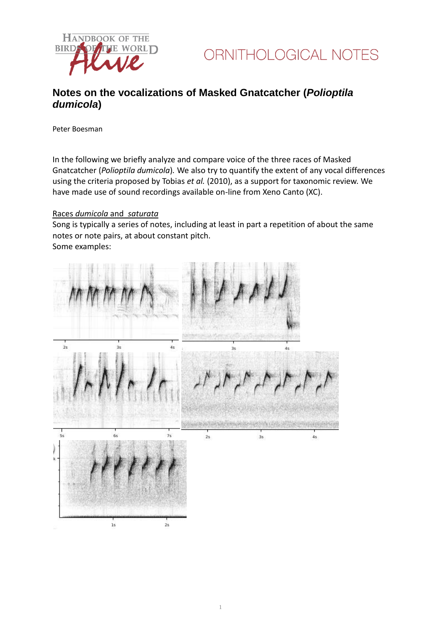

### **Notes on the vocalizations of Masked Gnatcatcher (***Polioptila dumicola***)**

Peter Boesman

In the following we briefly analyze and compare voice of the three races of Masked Gnatcatcher (*Polioptila dumicola*)*.* We also try to quantify the extent of any vocal differences using the criteria proposed by Tobias *et al.* (2010), as a support for taxonomic review. We have made use of sound recordings available on-line from Xeno Canto (XC).

#### Races *dumicola* and *saturata*

Song is typically a series of notes, including at least in part a repetition of about the same notes or note pairs, at about constant pitch. Some examples:

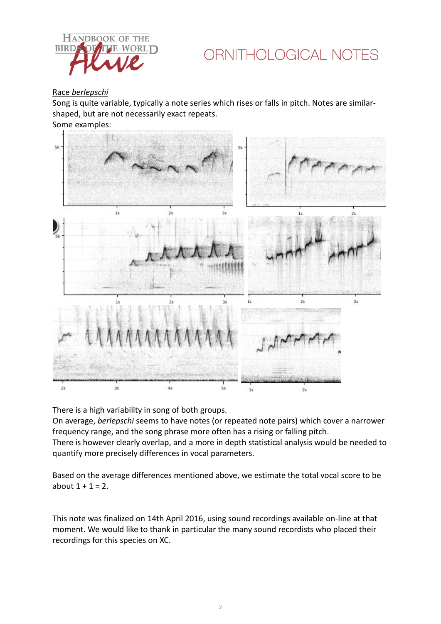

## ORNITHOLOGICAL NOTES

#### Race *berlepschi*

Song is quite variable, typically a note series which rises or falls in pitch. Notes are similarshaped, but are not necessarily exact repeats.

Some examples:



There is a high variability in song of both groups.

On average, *berlepschi* seems to have notes (or repeated note pairs) which cover a narrower frequency range, and the song phrase more often has a rising or falling pitch.

There is however clearly overlap, and a more in depth statistical analysis would be needed to quantify more precisely differences in vocal parameters.

Based on the average differences mentioned above, we estimate the total vocal score to be about  $1 + 1 = 2$ .

This note was finalized on 14th April 2016, using sound recordings available on-line at that moment. We would like to thank in particular the many sound recordists who placed their recordings for this species on XC.